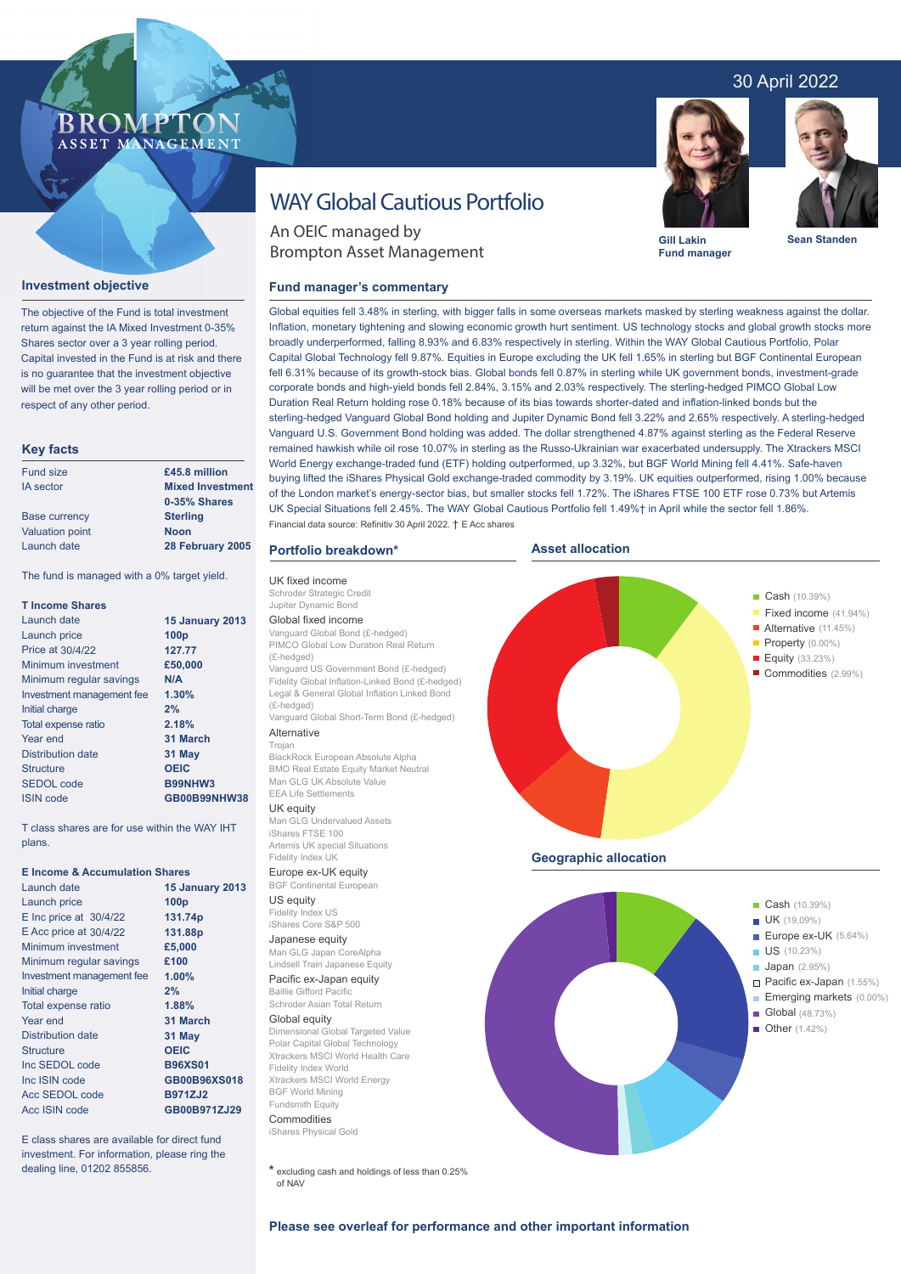## 30 April 2022

## **BROMP** ASSET MANAGEMENT

#### **Investment objective**

The objective of the Fund is total investment return against the IA Mixed Investment 0-35% Shares sector over a 3 year rolling period. Capital invested in the Fund is at risk and there is no guarantee that the investment objective will be met over the 3 year rolling period or in respect of any other period.

#### **Key facts**

| Fund size              | £45.8 million           |  |  |
|------------------------|-------------------------|--|--|
| <b>IA</b> sector       | <b>Mixed Investment</b> |  |  |
|                        | 0-35% Shares            |  |  |
| <b>Base currency</b>   | <b>Sterling</b>         |  |  |
| <b>Valuation point</b> | <b>Noon</b>             |  |  |
| Launch date            | 28 February 2005        |  |  |

The fund is managed with a 0% target yield.

| <b>T</b> Income Shares    |                        |  |  |
|---------------------------|------------------------|--|--|
| Launch date               | <b>15 January 2013</b> |  |  |
| Launch price              | 100 <sub>p</sub>       |  |  |
| Price at 30/4/22          | 127.77                 |  |  |
| Minimum investment        | £50,000                |  |  |
| Minimum regular savings   | N/A                    |  |  |
| Investment management fee | 1.30%                  |  |  |
| Initial charge            | 2%                     |  |  |
| Total expense ratio       | 2.18%                  |  |  |
| Year end                  | 31 March               |  |  |
| Distribution date         | 31 May                 |  |  |
| Structure                 | <b>OEIC</b>            |  |  |
| <b>SEDOL</b> code         | B99NHW3                |  |  |
| <b>ISIN</b> code          | GB00B99NHW38           |  |  |

T class shares are for use within the WAY IHT plans.

#### **E Income & Accumulation Shares**

| Launch date                | <b>15 January 2013</b> |  |  |  |
|----------------------------|------------------------|--|--|--|
| Launch price               | 100 <sub>p</sub>       |  |  |  |
| $E$ Inc price at $30/4/22$ | 131.74p                |  |  |  |
| $E$ Acc price at $30/4/22$ | 131.88p                |  |  |  |
| Minimum investment         | £5,000                 |  |  |  |
| Minimum regular savings    | £100                   |  |  |  |
| Investment management fee  | 1.00%                  |  |  |  |
| Initial charge             | 2%                     |  |  |  |
| Total expense ratio        | 1.88%                  |  |  |  |
| Year end                   | 31 March               |  |  |  |
| Distribution date          | 31 May                 |  |  |  |
| <b>Structure</b>           | <b>OEIC</b>            |  |  |  |
| Inc SEDOL code             | <b>B96XS01</b>         |  |  |  |
| Inc ISIN code              | GB00B96XS018           |  |  |  |
| Acc SEDOL code             | <b>B971ZJ2</b>         |  |  |  |
| Acc ISIN code              | GB00B971ZJ29           |  |  |  |

E class shares are available for direct fund investment. For information, please ring the dealing line, 01202 855856.

# WAY Global Cautious Portfolio

An OEIC managed by Brompton Asset Management

#### **Fund manager's commentary**



**Gill Lakin Fund manager**



**Sean Standen**

Cash (10.39%) Fixed income (41.94%)

Property (0.00%) Alternative (11.45%)

Equity (33.23%) Commodities (2.99%)

Global equities fell 3.48% in sterling, with bigger falls in some overseas markets masked by sterling weakness against the dollar. Inflation, monetary tightening and slowing economic growth hurt sentiment. US technology stocks and global growth stocks more broadly underperformed, falling 8.93% and 6.83% respectively in sterling. Within the WAY Global Cautious Portfolio, Polar Capital Global Technology fell 9.87%. Equities in Europe excluding the UK fell 1.65% in sterling but BGF Continental European fell 6.31% because of its growth-stock bias. Global bonds fell 0.87% in sterling while UK government bonds, investment-grade corporate bonds and high-yield bonds fell 2.84%, 3.15% and 2.03% respectively. The sterling-hedged PIMCO Global Low Duration Real Return holding rose 0.18% because of its bias towards shorter-dated and inflation-linked bonds but the sterling-hedged Vanguard Global Bond holding and Jupiter Dynamic Bond fell 3.22% and 2.65% respectively. A sterling-hedged Vanguard U.S. Government Bond holding was added. The dollar strengthened 4.87% against sterling as the Federal Reserve remained hawkish while oil rose 10.07% in sterling as the Russo-Ukrainian war exacerbated undersupply. The Xtrackers MSCI World Energy exchange-traded fund (ETF) holding outperformed, up 3.32%, but BGF World Mining fell 4.41%. Safe-haven buying lifted the iShares Physical Gold exchange-traded commodity by 3.19%. UK equities outperformed, rising 1.00% because of the London market's energy-sector bias, but smaller stocks fell 1.72%. The iShares FTSE 100 ETF rose 0.73% but Artemis UK Special Situations fell 2.45%. The WAY Global Cautious Portfolio fell 1.49%† in April while the sector fell 1.86%. Financial data source: Refinitiv 30 April 2022. † E Acc shares

**Asset allocation**

#### **Portfolio breakdown\***

UK fixed income Schroder Strategic Credit Jupiter Dynamic Bond Global fixed income Vanguard Global Bond (£-hedged) PIMCO Global Low Duration Real Return (£-hedged) Vanguard US Government Bond (£-hedged) Fidelity Global Inflation-Linked Bond (£-hedged) Legal & General Global Inflation Linked Bond (£-hedged) Vanguard Global Short-Term Bond (£-hedged) Alternative Trojan BlackRock European Absolute Alpha BMO Real Estate Equity Market Neutral Man GLG UK Absolute Value EEA Life Settlements UK equity Man GLG Undervalued Assets iShares FTSE 100 Artemis UK special Situations Fidelity Index UK Europe ex-UK equity BGF Continental European US equity Fidelity Index US iShares Core S&P 500 Japanese equity Man GLG Japan CoreAlpha Lindsell Train Japanese Equity Pacific ex-Japan equity Baillie Gifford Pacific Schroder Asian Total Return Global equity Dimensional Global Targeted Value Polar Capital Global Technology Xtrackers MSCI World Health Care Fidelity Index World Xtrackers MSCI World Energy BGF World Mining **Fundsmith Equity Commodities** iShares Physical Gold **\*** excluding cash and holdings of less than 0.25% of NAV **Please see overleaf for performance and other important information Geographic allocation** ł